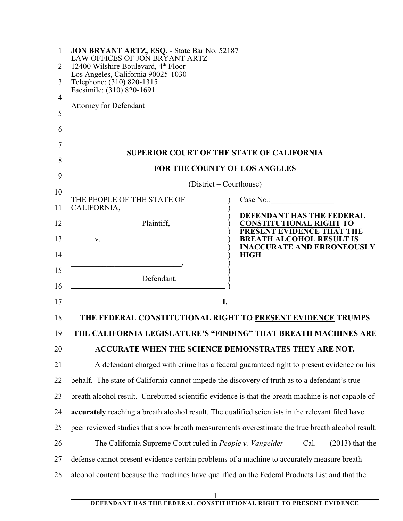| 1<br>2<br>3<br>$\overline{4}$<br>5<br>6<br>7 | JON BRYANT ARTZ, ESQ. - State Bar No. 52187<br>LAW OFFICES OF JON BRYANT ARTZ<br>12400 Wilshire Boulevard, 4 <sup>th</sup> Floor<br>Los Angeles, California 90025-1030<br>Telephone: (310) 820-1315<br>Facsimile: (310) 820-1691<br><b>Attorney for Defendant</b> |                                                                                          |  |
|----------------------------------------------|-------------------------------------------------------------------------------------------------------------------------------------------------------------------------------------------------------------------------------------------------------------------|------------------------------------------------------------------------------------------|--|
| 8                                            |                                                                                                                                                                                                                                                                   | <b>SUPERIOR COURT OF THE STATE OF CALIFORNIA</b>                                         |  |
| 9                                            | FOR THE COUNTY OF LOS ANGELES                                                                                                                                                                                                                                     |                                                                                          |  |
| 10                                           |                                                                                                                                                                                                                                                                   | (District – Courthouse)                                                                  |  |
| 11                                           | THE PEOPLE OF THE STATE OF<br>CALIFORNIA,                                                                                                                                                                                                                         | Case No.:                                                                                |  |
| 12                                           | Plaintiff,                                                                                                                                                                                                                                                        | DEFENDANT HAS THE FEDERAL<br><b>CONSTITUTIONAL RIGHT TO</b><br>PRESENT EVIDENCE THAT THE |  |
| 13                                           | V.                                                                                                                                                                                                                                                                | <b>BREATH ALCOHOL RESULT IS</b><br><b>INACCURATE AND ERRONEOUSLY</b>                     |  |
| 14                                           |                                                                                                                                                                                                                                                                   | <b>HIGH</b>                                                                              |  |
| 15<br>16                                     | Defendant.                                                                                                                                                                                                                                                        |                                                                                          |  |
| 17                                           |                                                                                                                                                                                                                                                                   | I.                                                                                       |  |
| 18                                           |                                                                                                                                                                                                                                                                   | THE FEDERAL CONSTITUTIONAL RIGHT TO PRESENT EVIDENCE TRUMPS                              |  |
| 19                                           |                                                                                                                                                                                                                                                                   | THE CALIFORNIA LEGISLATURE'S "FINDING" THAT BREATH MACHINES ARE                          |  |
| 20                                           |                                                                                                                                                                                                                                                                   | ACCURATE WHEN THE SCIENCE DEMONSTRATES THEY ARE NOT.                                     |  |
| 21                                           | A defendant charged with crime has a federal guaranteed right to present evidence on his                                                                                                                                                                          |                                                                                          |  |
| 22                                           | behalf. The state of California cannot impede the discovery of truth as to a defendant's true                                                                                                                                                                     |                                                                                          |  |
| 23                                           | breath alcohol result. Unrebutted scientific evidence is that the breath machine is not capable of                                                                                                                                                                |                                                                                          |  |
| 24                                           | accurately reaching a breath alcohol result. The qualified scientists in the relevant filed have                                                                                                                                                                  |                                                                                          |  |
| 25                                           | peer reviewed studies that show breath measurements overestimate the true breath alcohol result.                                                                                                                                                                  |                                                                                          |  |
| 26                                           | The California Supreme Court ruled in People v. Vangelder _____ Cal. ___ (2013) that the                                                                                                                                                                          |                                                                                          |  |
| 27                                           | defense cannot present evidence certain problems of a machine to accurately measure breath                                                                                                                                                                        |                                                                                          |  |
| 28                                           | alcohol content because the machines have qualified on the Federal Products List and that the                                                                                                                                                                     |                                                                                          |  |
|                                              |                                                                                                                                                                                                                                                                   | DEFENDANT HAS THE FEDERAL CONSTITUTIONAL RIGHT TO PRESENT EVIDENCE                       |  |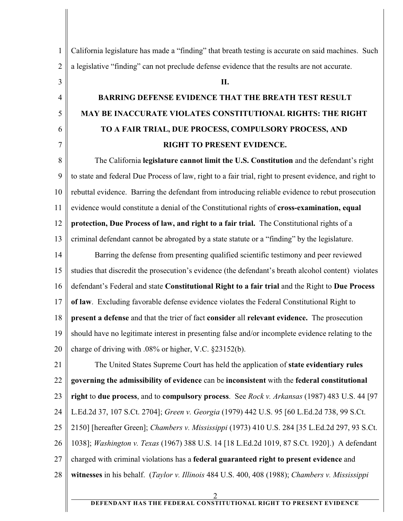1 2 3 4 5 6 7 8 9 10 11 12 13 14 15 16 17 18 19 20 21 22 23 24 25 26 27 28 California legislature has made a "finding" that breath testing is accurate on said machines. Such a legislative "finding" can not preclude defense evidence that the results are not accurate. **II. BARRING DEFENSE EVIDENCE THAT THE BREATH TEST RESULT MAY BE INACCURATE VIOLATES CONSTITUTIONAL RIGHTS: THE RIGHT TO A FAIR TRIAL, DUE PROCESS, COMPULSORY PROCESS, AND RIGHT TO PRESENT EVIDENCE.** The California **legislature cannot limit the U.S. Constitution** and the defendant's right to state and federal Due Process of law, right to a fair trial, right to present evidence, and right to rebuttal evidence. Barring the defendant from introducing reliable evidence to rebut prosecution evidence would constitute a denial of the Constitutional rights of **cross-examination, equal protection, Due Process of law, and right to a fair trial.** The Constitutional rights of a criminal defendant cannot be abrogated by a state statute or a "finding" by the legislature. Barring the defense from presenting qualified scientific testimony and peer reviewed studies that discredit the prosecution's evidence (the defendant's breath alcohol content) violates defendant's Federal and state **Constitutional Right to a fair trial** and the Right to **Due Process of law**. Excluding favorable defense evidence violates the Federal Constitutional Right to **present a defense** and that the trier of fact **consider** all **relevant evidence.** The prosecution should have no legitimate interest in presenting false and/or incomplete evidence relating to the charge of driving with .08% or higher, V.C. §23152(b). The United States Supreme Court has held the application of **state evidentiary rules governing the admissibility of evidence** can be **inconsistent** with the **federal constitutional right** to **due process**, and to **compulsory process**. See *Rock v. Arkansas* (1987) 483 U.S. 44 [97 L.Ed.2d 37, 107 S.Ct. 2704]; *Green v. Georgia* (1979) 442 U.S. 95 [60 L.Ed.2d 738, 99 S.Ct. 2150] [hereafter Green]; *Chambers v. Mississippi* (1973) 410 U.S. 284 [35 L.Ed.2d 297, 93 S.Ct. 1038]; *Washington v. Texas* (1967) 388 U.S. 14 [18 L.Ed.2d 1019, 87 S.Ct. 1920].) A defendant charged with criminal violations has a **federal guaranteed right to present evidence** and **witnesses** in his behalf. (*Taylor v. Illinois* 484 U.S. 400, 408 (1988); *Chambers v. Mississippi* 2

## **DEFENDANT HAS THE FEDERAL CONSTITUTIONAL RIGHT TO PRESENT EVIDENCE**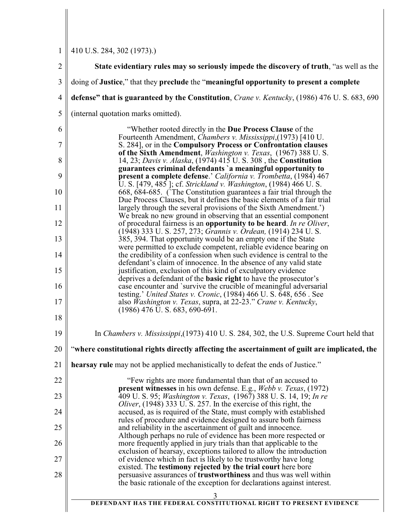1 410 U.S. 284, 302 (1973).)

| $\overline{2}$ | State evidentiary rules may so seriously impede the discovery of truth, "as well as the                                                             |  |  |
|----------------|-----------------------------------------------------------------------------------------------------------------------------------------------------|--|--|
| 3              | doing of Justice," that they preclude the "meaningful opportunity to present a complete                                                             |  |  |
| $\overline{4}$ | defense" that is guaranteed by the Constitution, Crane v. Kentucky, (1986) 476 U.S. 683, 690                                                        |  |  |
| 5              | (internal quotation marks omitted).                                                                                                                 |  |  |
| 6              | "Whether rooted directly in the Due Process Clause of the                                                                                           |  |  |
| $\overline{7}$ | Fourteenth Amendment, Chambers v. Mississippi, (1973) [410 U.<br>S. 284], or in the Compulsory Process or Confrontation clauses                     |  |  |
| 8              | of the Sixth Amendment, <i>Washington v. Texas</i> , (1967) 388 U.S.<br>14, 23; Davis v. Alaska, (1974) 415 U.S. 308, the Constitution              |  |  |
| 9              | guarantees criminal defendants 'a meaningful opportunity to<br>present a complete defense.' California v. Trombetta, (1984) 467                     |  |  |
| 10             | U. S. [479, 485]; cf. Strickland v. Washington, (1984) 466 U. S.<br>668, 684-685. The Constitution guarantees a fair trial through the              |  |  |
| 11             | Due Process Clauses, but it defines the basic elements of a fair trial<br>largely through the several provisions of the Sixth Amendment.')          |  |  |
| 12             | We break no new ground in observing that an essential component<br>of procedural fairness is an opportunity to be heard. In re Oliver,              |  |  |
| 13             | (1948) 333 U.S. 257, 273; Grannis v. Ordean, (1914) 234 U.S.<br>385, 394. That opportunity would be an empty one if the State                       |  |  |
| 14             | were permitted to exclude competent, reliable evidence bearing on<br>the credibility of a confession when such evidence is central to the           |  |  |
| 15             | defendant's claim of innocence. In the absence of any valid state<br>justification, exclusion of this kind of exculpatory evidence                  |  |  |
| 16             | deprives a defendant of the <b>basic right</b> to have the prosecutor's<br>case encounter and 'survive the crucible of meaningful adversarial       |  |  |
| 17             | testing.' United States v. Cronic, (1984) 466 U.S. 648, 656. See<br>also Washington v. Texas, supra, at 22-23." Crane v. Kentucky,                  |  |  |
| 18             | $(1986)$ 476 U.S. 683, 690-691.                                                                                                                     |  |  |
| 19             | In <i>Chambers v. Mississippi</i> , (1973) 410 U.S. 284, 302, the U.S. Supreme Court held that                                                      |  |  |
| 20             | "where constitutional rights directly affecting the ascertainment of guilt are implicated, the                                                      |  |  |
| 21             | hearsay rule may not be applied mechanistically to defeat the ends of Justice."                                                                     |  |  |
| 22             | "Few rights are more fundamental than that of an accused to<br>present witnesses in his own defense. E.g., Webb v. Texas, (1972)                    |  |  |
| 23             | 409 U.S. 95; Washington v. Texas, (1967) 388 U.S. 14, 19; In re<br><i>Oliver</i> , (1948) 333 U.S. 257. In the exercise of this right, the          |  |  |
| 24             | accused, as is required of the State, must comply with established<br>rules of procedure and evidence designed to assure both fairness              |  |  |
| 25             | and reliability in the ascertainment of guilt and innocence.<br>Although perhaps no rule of evidence has been more respected or                     |  |  |
| 26             | more frequently applied in jury trials than that applicable to the<br>exclusion of hearsay, exceptions tailored to allow the introduction           |  |  |
| 27             | of evidence which in fact is likely to be trustworthy have long<br>existed. The <b>testimony rejected by the trial court</b> here bore              |  |  |
| 28             | persuasive assurances of <b>trustworthiness</b> and thus was well within<br>the basic rationale of the exception for declarations against interest. |  |  |
|                |                                                                                                                                                     |  |  |
|                | DEFENDANT HAS THE FEDERAL CONSTITUTIONAL RIGHT TO PRESENT EVIDENCE                                                                                  |  |  |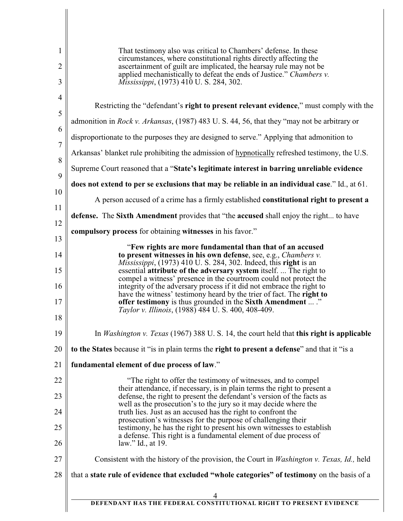| 1              | That testimony also was critical to Chambers' defense. In these<br>circumstances, where constitutional rights directly affecting the                                                |  |
|----------------|-------------------------------------------------------------------------------------------------------------------------------------------------------------------------------------|--|
| 2<br>3         | ascertainment of guilt are implicated, the hearsay rule may not be<br>applied mechanistically to defeat the ends of Justice." Chambers v.<br>Mississippi, (1973) 410 U.S. 284, 302. |  |
| $\overline{4}$ |                                                                                                                                                                                     |  |
| 5              | Restricting the "defendant's right to present relevant evidence," must comply with the                                                                                              |  |
| 6              | admonition in Rock v. Arkansas, (1987) 483 U.S. 44, 56, that they "may not be arbitrary or                                                                                          |  |
| $\overline{7}$ | disproportionate to the purposes they are designed to serve." Applying that admonition to                                                                                           |  |
| 8              | Arkansas' blanket rule prohibiting the admission of hypnotically refreshed testimony, the U.S.                                                                                      |  |
| 9              | Supreme Court reasoned that a "State's legitimate interest in barring unreliable evidence                                                                                           |  |
| 10             | does not extend to per se exclusions that may be reliable in an individual case." Id., at 61.                                                                                       |  |
| 11             | A person accused of a crime has a firmly established constitutional right to present a                                                                                              |  |
| 12             | defense. The Sixth Amendment provides that "the accused shall enjoy the right to have                                                                                               |  |
| 13             | compulsory process for obtaining witnesses in his favor."                                                                                                                           |  |
| 14             | "Few rights are more fundamental than that of an accused<br>to present witnesses in his own defense, see, e.g., Chambers v.                                                         |  |
| 15             | <i>Mississippi</i> , (1973) 410 U.S. 284, 302. Indeed, this right is an<br>essential attribute of the adversary system itself.  The right to                                        |  |
| 16             | compel a witness' presence in the courtroom could not protect the<br>integrity of the adversary process if it did not embrace the right to                                          |  |
|                | have the witness' testimony heard by the trier of fact. The right to                                                                                                                |  |
| 17<br>18       | offer testimony is thus grounded in the Sixth Amendment  ."<br>Taylor v. Illinois, (1988) 484 U.S. 400, 408-409.                                                                    |  |
| 19             | In Washington v. Texas (1967) 388 U. S. 14, the court held that this right is applicable                                                                                            |  |
| 20             | to the States because it "is in plain terms the right to present a defense" and that it "is a                                                                                       |  |
| 21             | fundamental element of due process of law."                                                                                                                                         |  |
| 22             | "The right to offer the testimony of witnesses, and to compel                                                                                                                       |  |
| 23             | their attendance, if necessary, is in plain terms the right to present a<br>defense, the right to present the defendant's version of the facts as                                   |  |
| 24             | well as the prosecution's to the jury so it may decide where the<br>truth lies. Just as an accused has the right to confront the                                                    |  |
| 25             | prosecution's witnesses for the purpose of challenging their<br>testimony, he has the right to present his own witnesses to establish                                               |  |
|                | a defense. This right is a fundamental element of due process of                                                                                                                    |  |
| 26             | law." Id., at 19.                                                                                                                                                                   |  |
| 27             | Consistent with the history of the provision, the Court in <i>Washington v. Texas, Id.</i> , held                                                                                   |  |
| 28             | that a state rule of evidence that excluded "whole categories" of testimony on the basis of a                                                                                       |  |
|                |                                                                                                                                                                                     |  |
|                | DEFENDANT HAS THE FEDERAL CONSTITUTIONAL RIGHT TO PRESENT EVIDENCE                                                                                                                  |  |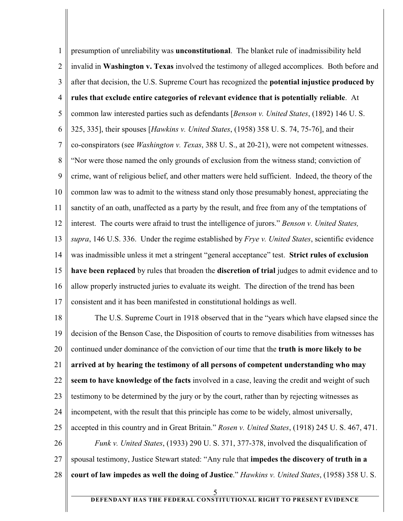1 2 3 4 5 6 7 8 9 10 11 12 13 14 15 16 17 18 19 20 21 22 23 24 25 26 27 28 presumption of unreliability was **unconstitutional**. The blanket rule of inadmissibility held invalid in **Washington v. Texas** involved the testimony of alleged accomplices. Both before and after that decision, the U.S. Supreme Court has recognized the **potential injustice produced by rules that exclude entire categories of relevant evidence that is potentially reliable**. At common law interested parties such as defendants [*Benson v. United States*, (1892) 146 U. S. 325, 335], their spouses [*Hawkins v. United States*, (1958) 358 U. S. 74, 75-76], and their co-conspirators (see *Washington v. Texas*, 388 U. S., at 20-21), were not competent witnesses. "Nor were those named the only grounds of exclusion from the witness stand; conviction of crime, want of religious belief, and other matters were held sufficient. Indeed, the theory of the common law was to admit to the witness stand only those presumably honest, appreciating the sanctity of an oath, unaffected as a party by the result, and free from any of the temptations of interest. The courts were afraid to trust the intelligence of jurors." *Benson v. United States, supra*, 146 U.S. 336. Under the regime established by *Frye v. United States*, scientific evidence was inadmissible unless it met a stringent "general acceptance" test. **Strict rules of exclusion have been replaced** by rules that broaden the **discretion of trial** judges to admit evidence and to allow properly instructed juries to evaluate its weight. The direction of the trend has been consistent and it has been manifested in constitutional holdings as well. The U.S. Supreme Court in 1918 observed that in the "years which have elapsed since the decision of the Benson Case, the Disposition of courts to remove disabilities from witnesses has continued under dominance of the conviction of our time that the **truth is more likely to be arrived at by hearing the testimony of all persons of competent understanding who may seem to have knowledge of the facts** involved in a case, leaving the credit and weight of such testimony to be determined by the jury or by the court, rather than by rejecting witnesses as incompetent, with the result that this principle has come to be widely, almost universally, accepted in this country and in Great Britain." *Rosen v. United States*, (1918) 245 U. S. 467, 471. *Funk v. United States*, (1933) 290 U. S. 371, 377-378, involved the disqualification of spousal testimony, Justice Stewart stated: "Any rule that **impedes the discovery of truth in a court of law impedes as well the doing of Justice**." *Hawkins v. United States*, (1958) 358 U. S. 5 **DEFENDANT HAS THE FEDERAL CONSTITUTIONAL RIGHT TO PRESENT EVIDENCE**